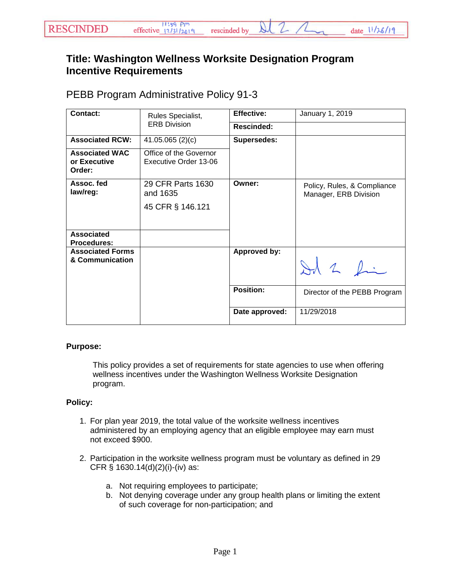## **Title: Washington Wellness Worksite Designation Program Incentive Requirements**

## PEBB Program Administrative Policy 91-3

| Contact:                                        | Rules Specialist,<br><b>ERB Division</b>          | <b>Effective:</b>  | January 1, 2019                                      |
|-------------------------------------------------|---------------------------------------------------|--------------------|------------------------------------------------------|
|                                                 |                                                   | <b>Rescinded:</b>  |                                                      |
| <b>Associated RCW:</b>                          | 41.05.065(2)(c)                                   | <b>Supersedes:</b> |                                                      |
| <b>Associated WAC</b><br>or Executive<br>Order: | Office of the Governor<br>Executive Order 13-06   |                    |                                                      |
| Assoc. fed<br>law/reg:                          | 29 CFR Parts 1630<br>and 1635<br>45 CFR § 146.121 | Owner:             | Policy, Rules, & Compliance<br>Manager, ERB Division |
| <b>Associated</b><br><b>Procedures:</b>         |                                                   |                    |                                                      |
| <b>Associated Forms</b><br>& Communication      |                                                   | Approved by:       | Id 2 fin                                             |
|                                                 |                                                   | <b>Position:</b>   | Director of the PEBB Program                         |
|                                                 |                                                   | Date approved:     | 11/29/2018                                           |

## **Purpose:**

This policy provides a set of requirements for state agencies to use when offering wellness incentives under the Washington Wellness Worksite Designation program.

## **Policy:**

- 1. For plan year 2019, the total value of the worksite wellness incentives administered by an employing agency that an eligible employee may earn must not exceed \$900.
- 2. Participation in the worksite wellness program must be voluntary as defined in 29 CFR § 1630.14(d)(2)(i)-(iv) as:
	- a. Not requiring employees to participate;
	- b. Not denying coverage under any group health plans or limiting the extent of such coverage for non-participation; and